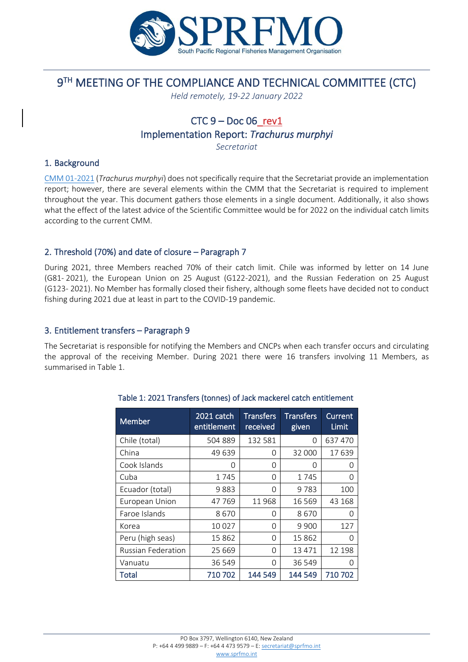

# 9 TH MEETING OF THE COMPLIANCE AND TECHNICAL COMMITTEE (CTC)

*Held remotely, 19-22 January 2022*

# $CTC 9 - Doc 06$ rev1

Implementation Report: *Trachurus murphyi*

*Secretariat*

#### 1. Background

[CMM 01-2021](http://www.sprfmo.int/assets/Fisheries/Conservation-and-Management-Measures/2021-CMMs/CMM-01-2021-Trachurus-Murphyi-12Mar2021.pdf) (*Trachurus murphyi*) does not specifically require that the Secretariat provide an implementation report; however, there are several elements within the CMM that the Secretariat is required to implement throughout the year. This document gathers those elements in a single document. Additionally, it also shows what the effect of the latest advice of the Scientific Committee would be for 2022 on the individual catch limits according to the current CMM.

# 2. Threshold (70%) and date of closure – Paragraph 7

During 2021, three Members reached 70% of their catch limit. Chile was informed by letter on 14 June (G81- 2021), the European Union on 25 August (G122-2021), and the Russian Federation on 25 August (G123- 2021). No Member has formally closed their fishery, although some fleets have decided not to conduct fishing during 2021 due at least in part to the COVID-19 pandemic.

### 3. Entitlement transfers – Paragraph 9

The Secretariat is responsible for notifying the Members and CNCPs when each transfer occurs and circulating the approval of the receiving Member. During 2021 there were 16 transfers involving 11 Members, as summarised in Table 1.

| Member                    | 2021 catch<br>entitlement | <b>Transfers</b><br>received | <b>Transfers</b><br>given | Current<br><b>Limit</b> |
|---------------------------|---------------------------|------------------------------|---------------------------|-------------------------|
| Chile (total)             | 504 889                   | 132 581                      | 0                         | 637 470                 |
| China                     | 49 639                    | 0                            | 32 000                    | 17639                   |
| Cook Islands              | O                         | 0                            | O                         | Ω                       |
| Cuba                      | 1745                      | 0                            | 1745                      | Ω                       |
| Ecuador (total)           | 9883                      | 0                            | 9783                      | 100                     |
| European Union            | 47769                     | 11968                        | 16 5 69                   | 43 168                  |
| Faroe Islands             | 8670                      | 0                            | 8670                      | 0                       |
| Korea                     | 10 0 27                   | 0                            | 9 9 0 0                   | 127                     |
| Peru (high seas)          | 15862                     | 0                            | 15862                     | O                       |
| <b>Russian Federation</b> | 25 6 69                   | 0                            | 13 4 7 1                  | 12 198                  |
| Vanuatu                   | 36 549                    | 0                            | 36 549                    | Ω                       |
| Total                     | 710 702                   | 144 549                      | 144 549                   | 710702                  |

#### Table 1: 2021 Transfers (tonnes) of Jack mackerel catch entitlement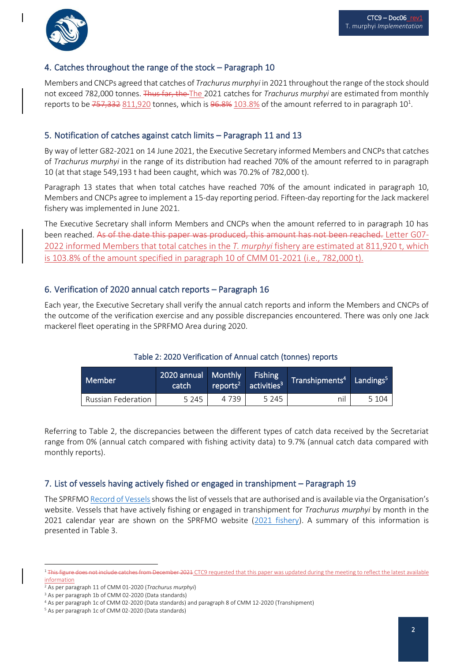

### 4. Catches throughout the range of the stock – Paragraph 10

Members and CNCPs agreed that catches of *Trachurus murphyi* in 2021 throughout the range of the stock should not exceed 782,000 tonnes. Thus far, the The 2021 catches for *Trachurus murphyi* are estimated from monthly reports to be  $757,332$   $811,920$  tonnes, which is  $96.8\%$   $103.8\%$  of the amount referred to in paragraph  $10^1$ .

#### 5. Notification of catches against catch limits – Paragraph 11 and 13

By way of letter G82-2021 on 14 June 2021, the Executive Secretary informed Members and CNCPs that catches of *Trachurus murphyi* in the range of its distribution had reached 70% of the amount referred to in paragraph 10 (at that stage 549,193 t had been caught, which was 70.2% of 782,000 t).

Paragraph 13 states that when total catches have reached 70% of the amount indicated in paragraph 10, Members and CNCPs agree to implement a 15-day reporting period. Fifteen-day reporting for the Jack mackerel fishery was implemented in June 2021.

The Executive Secretary shall inform Members and CNCPs when the amount referred to in paragraph 10 has been reached. As of the date this paper was produced, this amount has not been reached. Letter G07-2022 informed Members that total catches in the *T. murphyi* fishery are estimated at 811,920 t, which is 103.8% of the amount specified in paragraph 10 of CMM 01-2021 (i.e., 782,000 t).

### 6. Verification of 2020 annual catch reports – Paragraph 16

Each year, the Executive Secretary shall verify the annual catch reports and inform the Members and CNCPs of the outcome of the verification exercise and any possible discrepancies encountered. There was only one Jack mackerel fleet operating in the SPRFMO Area during 2020.

#### Table 2: 2020 Verification of Annual catch (tonnes) reports

| Member                    | 2020 annual Monthly<br>catch |         | <b>Fishing</b><br>reports <sup>2</sup> activities <sup>3</sup> | Transhipments <sup>4</sup> Landings <sup>5</sup> |         |
|---------------------------|------------------------------|---------|----------------------------------------------------------------|--------------------------------------------------|---------|
| <b>Russian Federation</b> | 5 2 4 5                      | 4 7 3 9 | 5 2 4 5                                                        | nil                                              | 5 1 0 4 |

Referring to Table 2, the discrepancies between the different types of catch data received by the Secretariat range from 0% (annual catch compared with fishing activity data) to 9.7% (annual catch data compared with monthly reports).

#### 7. List of vessels having actively fished or engaged in transhipment – Paragraph 19

The SPRFM[O Record of Vessels](https://sprfmo.org/Web/Vessels/VesselSearchView.aspx) shows the list of vessels that are authorised and is available via the Organisation's website. Vessels that have actively fishing or engaged in transhipment for *Trachurus murphyi* by month in the 2021 calendar year are shown on the SPRFMO website (2021 [fishery\)](https://www.sprfmo.int/data/trachurus-murphyi-fishery/2018-t-murphyi-fishery-2/). A summary of this information is presented in Table 3.

<sup>1</sup> This figure does not include catches from December 2021 CTC9 requested that this paper was updated during the meeting to reflect the latest available information

<sup>2</sup> As per paragraph 11 of CMM 01-2020 (*Trachurus murphyi*)

<sup>3</sup> As per paragraph 1b of CMM 02-2020 (Data standards)

<sup>4</sup> As per paragraph 1c of CMM 02-2020 (Data standards) and paragraph 8 of CMM 12-2020 (Transhipment)

<sup>5</sup> As per paragraph 1c of CMM 02-2020 (Data standards)